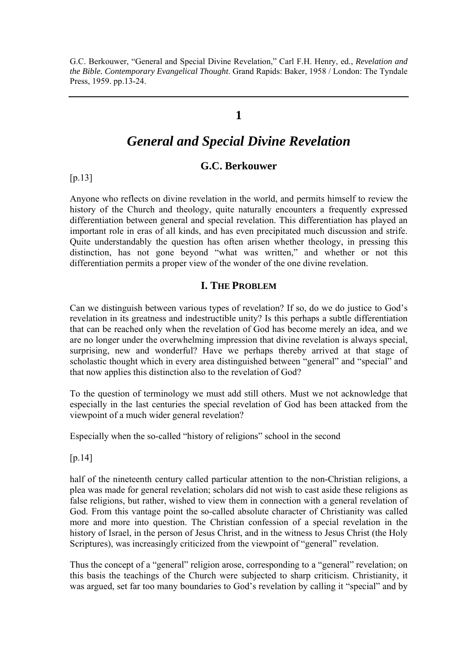# **1**

# *General and Special Divine Revelation*

## **G.C. Berkouwer**

 $[p.13]$ 

Anyone who reflects on divine revelation in the world, and permits himself to review the history of the Church and theology, quite naturally encounters a frequently expressed differentiation between general and special revelation. This differentiation has played an important role in eras of all kinds, and has even precipitated much discussion and strife. Quite understandably the question has often arisen whether theology, in pressing this distinction, has not gone beyond "what was written," and whether or not this differentiation permits a proper view of the wonder of the one divine revelation.

#### **I. THE PROBLEM**

Can we distinguish between various types of revelation? If so, do we do justice to God's revelation in its greatness and indestructible unity? Is this perhaps a subtle differentiation that can be reached only when the revelation of God has become merely an idea, and we are no longer under the overwhelming impression that divine revelation is always special, surprising, new and wonderful? Have we perhaps thereby arrived at that stage of scholastic thought which in every area distinguished between "general" and "special" and that now applies this distinction also to the revelation of God?

To the question of terminology we must add still others. Must we not acknowledge that especially in the last centuries the special revelation of God has been attacked from the viewpoint of a much wider general revelation?

Especially when the so-called "history of religions" school in the second

[p.14]

half of the nineteenth century called particular attention to the non-Christian religions, a plea was made for general revelation; scholars did not wish to cast aside these religions as false religions, but rather, wished to view them in connection with a general revelation of God. From this vantage point the so-called absolute character of Christianity was called more and more into question. The Christian confession of a special revelation in the history of Israel, in the person of Jesus Christ, and in the witness to Jesus Christ (the Holy Scriptures), was increasingly criticized from the viewpoint of "general" revelation.

Thus the concept of a "general" religion arose, corresponding to a "general" revelation; on this basis the teachings of the Church were subjected to sharp criticism. Christianity, it was argued, set far too many boundaries to God's revelation by calling it "special" and by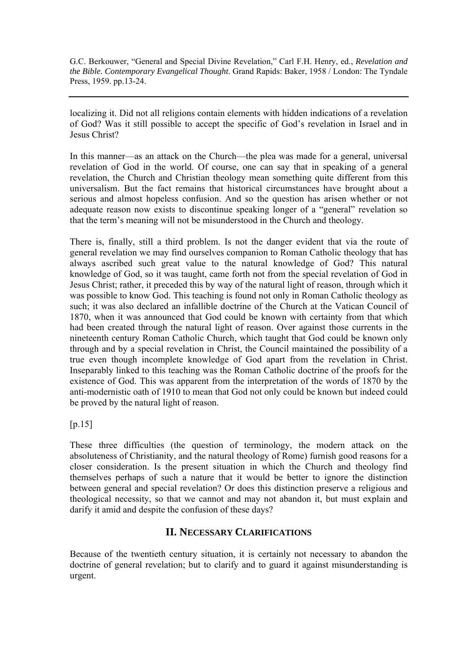localizing it. Did not all religions contain elements with hidden indications of a revelation of God? Was it still possible to accept the specific of God's revelation in Israel and in Jesus Christ?

In this manner—as an attack on the Church—the plea was made for a general, universal revelation of God in the world. Of course, one can say that in speaking of a general revelation, the Church and Christian theology mean something quite different from this universalism. But the fact remains that historical circumstances have brought about a serious and almost hopeless confusion. And so the question has arisen whether or not adequate reason now exists to discontinue speaking longer of a "general" revelation so that the term's meaning will not be misunderstood in the Church and theology.

There is, finally, still a third problem. Is not the danger evident that via the route of general revelation we may find ourselves companion to Roman Catholic theology that has always ascribed such great value to the natural knowledge of God? This natural knowledge of God, so it was taught, came forth not from the special revelation of God in Jesus Christ; rather, it preceded this by way of the natural light of reason, through which it was possible to know God. This teaching is found not only in Roman Catholic theology as such; it was also declared an infallible doctrine of the Church at the Vatican Council of 1870, when it was announced that God could be known with certainty from that which had been created through the natural light of reason. Over against those currents in the nineteenth century Roman Catholic Church, which taught that God could be known only through and by a special revelation in Christ, the Council maintained the possibility of a true even though incomplete knowledge of God apart from the revelation in Christ. Inseparably linked to this teaching was the Roman Catholic doctrine of the proofs for the existence of God. This was apparent from the interpretation of the words of 1870 by the anti-modernistic oath of 1910 to mean that God not only could be known but indeed could be proved by the natural light of reason.

 $[p.15]$ 

These three difficulties (the question of terminology, the modern attack on the absoluteness of Christianity, and the natural theology of Rome) furnish good reasons for a closer consideration. Is the present situation in which the Church and theology find themselves perhaps of such a nature that it would be better to ignore the distinction between general and special revelation? Or does this distinction preserve a religious and theological necessity, so that we cannot and may not abandon it, but must explain and darify it amid and despite the confusion of these days?

## **II. NECESSARY CLARIFICATIONS**

Because of the twentieth century situation, it is certainly not necessary to abandon the doctrine of general revelation; but to clarify and to guard it against misunderstanding is urgent.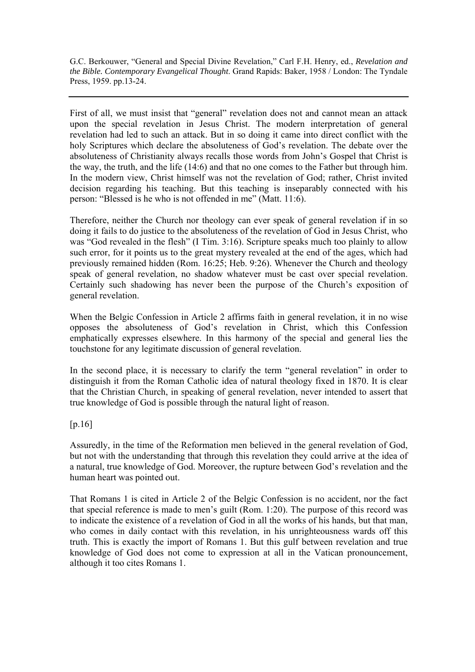First of all, we must insist that "general" revelation does not and cannot mean an attack upon the special revelation in Jesus Christ. The modern interpretation of general revelation had led to such an attack. But in so doing it came into direct conflict with the holy Scriptures which declare the absoluteness of God's revelation. The debate over the absoluteness of Christianity always recalls those words from John's Gospel that Christ is the way, the truth, and the life (14:6) and that no one comes to the Father but through him. In the modern view, Christ himself was not the revelation of God; rather, Christ invited decision regarding his teaching. But this teaching is inseparably connected with his person: "Blessed is he who is not offended in me" (Matt. 11:6).

Therefore, neither the Church nor theology can ever speak of general revelation if in so doing it fails to do justice to the absoluteness of the revelation of God in Jesus Christ, who was "God revealed in the flesh" (I Tim. 3:16). Scripture speaks much too plainly to allow such error, for it points us to the great mystery revealed at the end of the ages, which had previously remained hidden (Rom. 16:25; Heb. 9:26). Whenever the Church and theology speak of general revelation, no shadow whatever must be cast over special revelation. Certainly such shadowing has never been the purpose of the Church's exposition of general revelation.

When the Belgic Confession in Article 2 affirms faith in general revelation, it in no wise opposes the absoluteness of God's revelation in Christ, which this Confession emphatically expresses elsewhere. In this harmony of the special and general lies the touchstone for any legitimate discussion of general revelation.

In the second place, it is necessary to clarify the term "general revelation" in order to distinguish it from the Roman Catholic idea of natural theology fixed in 1870. It is clear that the Christian Church, in speaking of general revelation, never intended to assert that true knowledge of God is possible through the natural light of reason.

[p.16]

Assuredly, in the time of the Reformation men believed in the general revelation of God, but not with the understanding that through this revelation they could arrive at the idea of a natural, true knowledge of God. Moreover, the rupture between God's revelation and the human heart was pointed out.

That Romans 1 is cited in Article 2 of the Belgic Confession is no accident, nor the fact that special reference is made to men's guilt (Rom. 1:20). The purpose of this record was to indicate the existence of a revelation of God in all the works of his hands, but that man, who comes in daily contact with this revelation, in his unrighteousness wards off this truth. This is exactly the import of Romans 1. But this gulf between revelation and true knowledge of God does not come to expression at all in the Vatican pronouncement, although it too cites Romans 1.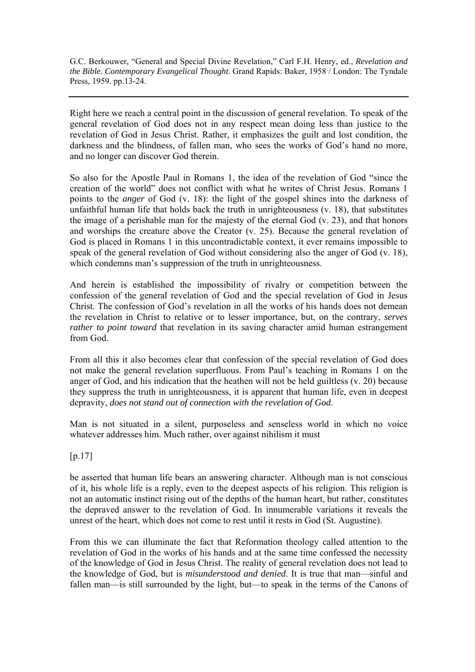Right here we reach a central point in the discussion of general revelation. To speak of the general revelation of God does not in any respect mean doing less than justice to the revelation of God in Jesus Christ. Rather, it emphasizes the guilt and lost condition, the darkness and the blindness, of fallen man, who sees the works of God's hand no more, and no longer can discover God therein.

So also for the Apostle Paul in Romans 1, the idea of the revelation of God "since the creation of the world" does not conflict with what he writes of Christ Jesus. Romans 1 points to the *anger* of God (v. 18): the light of the gospel shines into the darkness of unfaithful human life that holds back the truth in unrighteousness (v. 18), that substitutes the image of a perishable man for the majesty of the eternal God (v. 23), and that honors and worships the creature above the Creator (v. 25). Because the general revelation of God is placed in Romans 1 in this uncontradictable context, it ever remains impossible to speak of the general revelation of God without considering also the anger of God (v. 18), which condemns man's suppression of the truth in unrighteousness.

And herein is established the impossibility of rivalry or competition between the confession of the general revelation of God and the special revelation of God in Jesus Christ. The confession of God's revelation in all the works of his hands does not demean the revelation in Christ to relative or to lesser importance, but, on the contrary, *serves rather to point toward* that revelation in its saving character amid human estrangement from God.

From all this it also becomes clear that confession of the special revelation of God does not make the general revelation superfluous. From Paul's teaching in Romans 1 on the anger of God, and his indication that the heathen will not be held guiltless (v. 20) because they suppress the truth in unrighteousness, it is apparent that human life, even in deepest depravity, *does not stand out of connection with the revelation of God*.

Man is not situated in a silent, purposeless and senseless world in which no voice whatever addresses him. Much rather, over against nihilism it must

 $[p.17]$ 

be asserted that human life bears an answering character. Although man is not conscious of it, his whole life is a reply, even to the deepest aspects of his religion. This religion is not an automatic instinct rising out of the depths of the human heart, but rather, constitutes the depraved answer to the revelation of God. In innumerable variations it reveals the unrest of the heart, which does not come to rest until it rests in God (St. Augustine).

From this we can illuminate the fact that Reformation theology called attention to the revelation of God in the works of his hands and at the same time confessed the necessity of the knowledge of God in Jesus Christ. The reality of general revelation does not lead to the knowledge of God, but is *misunderstood and denied*. It is true that man—sinful and fallen man—is still surrounded by the light, but—to speak in the terms of the Canons of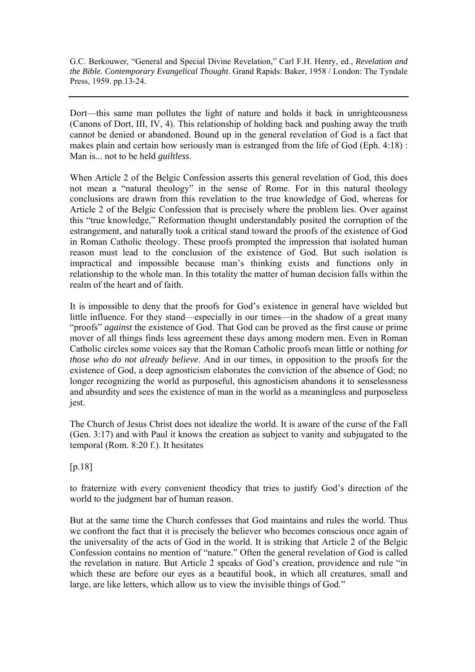Dort—this same man pollutes the light of nature and holds it back in unrighteousness (Canons of Dort, III, IV, 4). This relationship of holding back and pushing away the truth cannot be denied or abandoned. Bound up in the general revelation of God is a fact that makes plain and certain how seriously man is estranged from the life of God (Eph. 4:18) : Man is... not to be held *guiltless*.

When Article 2 of the Belgic Confession asserts this general revelation of God, this does not mean a "natural theology" in the sense of Rome. For in this natural theology conclusions are drawn from this revelation to the true knowledge of God, whereas for Article 2 of the Belgic Confession that is precisely where the problem lies. Over against this "true knowledge," Reformation thought understandably posited the corruption of the estrangement, and naturally took a critical stand toward the proofs of the existence of God in Roman Catholic theology. These proofs prompted the impression that isolated human reason must lead to the conclusion of the existence of God. But such isolation is impractical and impossible because man's thinking exists and functions only in relationship to the whole man. In this totality the matter of human decision falls within the realm of the heart and of faith.

It is impossible to deny that the proofs for God's existence in general have wielded but little influence. For they stand—especially in our times—in the shadow of a great many "proofs" *against* the existence of God. That God can be proved as the first cause or prime mover of all things finds less agreement these days among modern men. Even in Roman Catholic circles some voices say that the Roman Catholic proofs mean little or nothing *for those who do not already believe*. And in our times, in opposition to the proofs for the existence of God, a deep agnosticism elaborates the conviction of the absence of God; no longer recognizing the world as purposeful, this agnosticism abandons it to senselessness and absurdity and sees the existence of man in the world as a meaningless and purposeless jest.

The Church of Jesus Christ does not idealize the world. It is aware of the curse of the Fall (Gen. 3:17) and with Paul it knows the creation as subject to vanity and subjugated to the temporal (Rom. 8:20 f.). It hesitates

[p.18]

to fraternize with every convenient theodicy that tries to justify God's direction of the world to the judgment bar of human reason.

But at the same time the Church confesses that God maintains and rules the world. Thus we confront the fact that it is precisely the believer who becomes conscious once again of the universality of the acts of God in the world. It is striking that Article 2 of the Belgic Confession contains no mention of "nature." Often the general revelation of God is called the revelation in nature. But Article 2 speaks of God's creation, providence and rule "in which these are before our eyes as a beautiful book, in which all creatures, small and large, are like letters, which allow us to view the invisible things of God."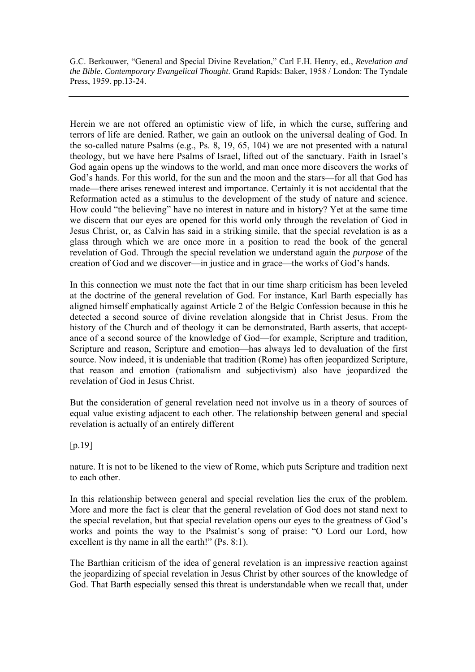Herein we are not offered an optimistic view of life, in which the curse, suffering and terrors of life are denied. Rather, we gain an outlook on the universal dealing of God. In the so-called nature Psalms (e.g., Ps. 8, 19, 65, 104) we are not presented with a natural theology, but we have here Psalms of Israel, lifted out of the sanctuary. Faith in Israel's God again opens up the windows to the world, and man once more discovers the works of God's hands. For this world, for the sun and the moon and the stars—for all that God has made—there arises renewed interest and importance. Certainly it is not accidental that the Reformation acted as a stimulus to the development of the study of nature and science. How could "the believing" have no interest in nature and in history? Yet at the same time we discern that our eyes are opened for this world only through the revelation of God in Jesus Christ, or, as Calvin has said in a striking simile, that the special revelation is as a glass through which we are once more in a position to read the book of the general revelation of God. Through the special revelation we understand again the *purpose* of the creation of God and we discover—in justice and in grace—the works of God's hands.

In this connection we must note the fact that in our time sharp criticism has been leveled at the doctrine of the general revelation of God. For instance, Karl Barth especially has aligned himself emphatically against Article 2 of the Belgic Confession because in this he detected a second source of divine revelation alongside that in Christ Jesus. From the history of the Church and of theology it can be demonstrated, Barth asserts, that acceptance of a second source of the knowledge of God—for example, Scripture and tradition, Scripture and reason, Scripture and emotion—has always led to devaluation of the first source. Now indeed, it is undeniable that tradition (Rome) has often jeopardized Scripture, that reason and emotion (rationalism and subjectivism) also have jeopardized the revelation of God in Jesus Christ.

But the consideration of general revelation need not involve us in a theory of sources of equal value existing adjacent to each other. The relationship between general and special revelation is actually of an entirely different

[p.19]

nature. It is not to be likened to the view of Rome, which puts Scripture and tradition next to each other.

In this relationship between general and special revelation lies the crux of the problem. More and more the fact is clear that the general revelation of God does not stand next to the special revelation, but that special revelation opens our eyes to the greatness of God's works and points the way to the Psalmist's song of praise: "O Lord our Lord, how excellent is thy name in all the earth!" (Ps. 8:1).

The Barthian criticism of the idea of general revelation is an impressive reaction against the jeopardizing of special revelation in Jesus Christ by other sources of the knowledge of God. That Barth especially sensed this threat is understandable when we recall that, under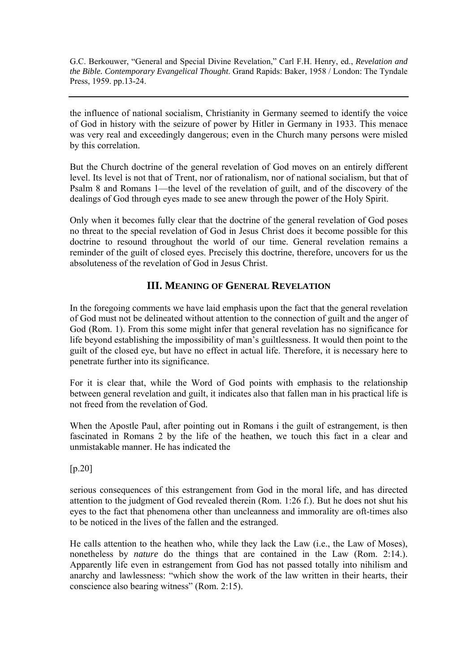the influence of national socialism, Christianity in Germany seemed to identify the voice of God in history with the seizure of power by Hitler in Germany in 1933. This menace was very real and exceedingly dangerous; even in the Church many persons were misled by this correlation.

But the Church doctrine of the general revelation of God moves on an entirely different level. Its level is not that of Trent, nor of rationalism, nor of national socialism, but that of Psalm 8 and Romans 1—the level of the revelation of guilt, and of the discovery of the dealings of God through eyes made to see anew through the power of the Holy Spirit.

Only when it becomes fully clear that the doctrine of the general revelation of God poses no threat to the special revelation of God in Jesus Christ does it become possible for this doctrine to resound throughout the world of our time. General revelation remains a reminder of the guilt of closed eyes. Precisely this doctrine, therefore, uncovers for us the absoluteness of the revelation of God in Jesus Christ.

## **III. MEANING OF GENERAL REVELATION**

In the foregoing comments we have laid emphasis upon the fact that the general revelation of God must not be delineated without attention to the connection of guilt and the anger of God (Rom. 1). From this some might infer that general revelation has no significance for life beyond establishing the impossibility of man's guiltlessness. It would then point to the guilt of the closed eye, but have no effect in actual life. Therefore, it is necessary here to penetrate further into its significance.

For it is clear that, while the Word of God points with emphasis to the relationship between general revelation and guilt, it indicates also that fallen man in his practical life is not freed from the revelation of God.

When the Apostle Paul, after pointing out in Romans i the guilt of estrangement, is then fascinated in Romans 2 by the life of the heathen, we touch this fact in a clear and unmistakable manner. He has indicated the

[p.20]

serious consequences of this estrangement from God in the moral life, and has directed attention to the judgment of God revealed therein (Rom. 1:26 f.). But he does not shut his eyes to the fact that phenomena other than uncleanness and immorality are oft-times also to be noticed in the lives of the fallen and the estranged.

He calls attention to the heathen who, while they lack the Law (i.e., the Law of Moses), nonetheless by *nature* do the things that are contained in the Law (Rom. 2:14.). Apparently life even in estrangement from God has not passed totally into nihilism and anarchy and lawlessness: "which show the work of the law written in their hearts, their conscience also bearing witness" (Rom. 2:15).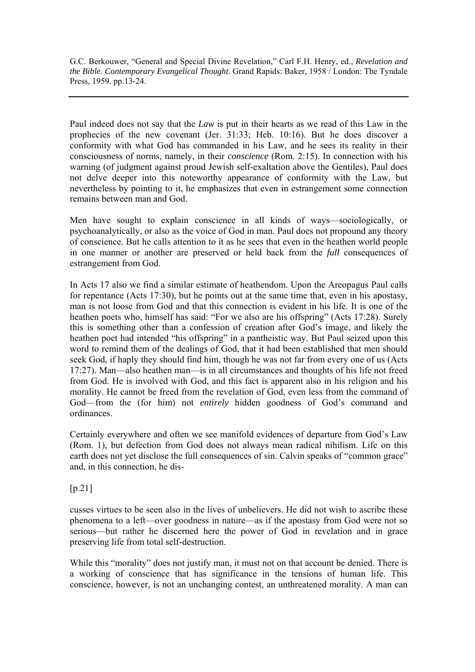Paul indeed does not say that the *Law* is put in their hearts as we read of this Law in the prophecies of the new covenant (Jer. 31:33; Heb. 10:16). But he does discover a conformity with what God has commanded in his Law, and he sees its reality in their consciousness of norms, namely, in their *conscience* (Rom. 2:15). In connection with his warning (of judgment against proud Jewish self-exaltation above the Gentiles), Paul does not delve deeper into this noteworthy appearance of conformity with the Law, but nevertheless by pointing to it, he emphasizes that even in estrangement some connection remains between man and God.

Men have sought to explain conscience in all kinds of ways—sociologically, or psychoanalytically, or also as the voice of God in man. Paul does not propound any theory of conscience. But he calls attention to it as he sees that even in the heathen world people in one manner or another are preserved or held back from the *full* consequences of estrangement from God.

In Acts 17 also we find a similar estimate of heathendom. Upon the Areopagus Paul calls for repentance (Acts 17:30), but he points out at the same time that, even in his apostasy, man is not loose from God and that this connection is evident in his life. It is one of the heathen poets who, himself has said: "For we also are his offspring" (Acts 17:28). Surely this is something other than a confession of creation after God's image, and likely the heathen poet had intended "his offspring" in a pantheistic way. But Paul seized upon this word to remind them of the dealings of God, that it had been established that men should seek God, if haply they should find him, though he was not far from every one of us (Acts 17:27). Man—also heathen man—is in all circumstances and thoughts of his life not freed from God. He is involved with God, and this fact is apparent also in his religion and his morality. He cannot be freed from the revelation of God, even less from the command of God—from the (for him) not *entirely* hidden goodness of God's command and ordinances.

Certainly everywhere and often we see manifold evidences of departure from God's Law (Rom. 1), but defection from God does not always mean radical nihilism. Life on this earth does not yet disclose the full consequences of sin. Calvin speaks of "common grace" and, in this connection, he dis-

### $[p.21]$

cusses virtues to be seen also in the lives of unbelievers. He did not wish to ascribe these phenomena to a left—over goodness in nature—as if the apostasy from God were not so serious—but rather he discerned here the power of God in revelation and in grace preserving life from total self-destruction.

While this "morality" does not justify man, it must not on that account be denied. There is a working of conscience that has significance in the tensions of human life. This conscience, however, is not an unchanging contest, an unthreatened morality. A man can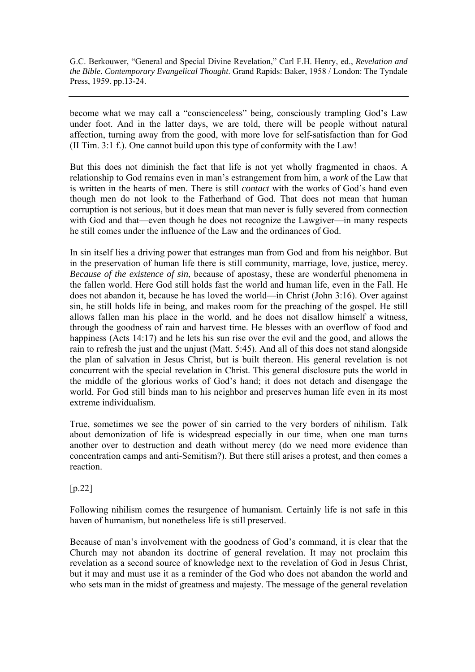become what we may call a "conscienceless" being, consciously trampling God's Law under foot. And in the latter days, we are told, there will be people without natural affection, turning away from the good, with more love for self-satisfaction than for God (II Tim. 3:1 f.). One cannot build upon this type of conformity with the Law!

But this does not diminish the fact that life is not yet wholly fragmented in chaos. A relationship to God remains even in man's estrangement from him, a *work* of the Law that is written in the hearts of men. There is still *contact* with the works of God's hand even though men do not look to the Fatherhand of God. That does not mean that human corruption is not serious, but it does mean that man never is fully severed from connection with God and that—even though he does not recognize the Lawgiver—in many respects he still comes under the influence of the Law and the ordinances of God.

In sin itself lies a driving power that estranges man from God and from his neighbor. But in the preservation of human life there is still community, marriage, love, justice, mercy. *Because of the existence of sin*, because of apostasy, these are wonderful phenomena in the fallen world. Here God still holds fast the world and human life, even in the Fall. He does not abandon it, because he has loved the world—in Christ (John 3:16). Over against sin, he still holds life in being, and makes room for the preaching of the gospel. He still allows fallen man his place in the world, and he does not disallow himself a witness, through the goodness of rain and harvest time. He blesses with an overflow of food and happiness (Acts 14:17) and he lets his sun rise over the evil and the good, and allows the rain to refresh the just and the unjust (Matt. 5:45). And all of this does not stand alongside the plan of salvation in Jesus Christ, but is built thereon. His general revelation is not concurrent with the special revelation in Christ. This general disclosure puts the world in the middle of the glorious works of God's hand; it does not detach and disengage the world. For God still binds man to his neighbor and preserves human life even in its most extreme individualism.

True, sometimes we see the power of sin carried to the very borders of nihilism. Talk about demonization of life is widespread especially in our time, when one man turns another over to destruction and death without mercy (do we need more evidence than concentration camps and anti-Semitism?). But there still arises a protest, and then comes a reaction.

[p.22]

Following nihilism comes the resurgence of humanism. Certainly life is not safe in this haven of humanism, but nonetheless life is still preserved.

Because of man's involvement with the goodness of God's command, it is clear that the Church may not abandon its doctrine of general revelation. It may not proclaim this revelation as a second source of knowledge next to the revelation of God in Jesus Christ, but it may and must use it as a reminder of the God who does not abandon the world and who sets man in the midst of greatness and majesty. The message of the general revelation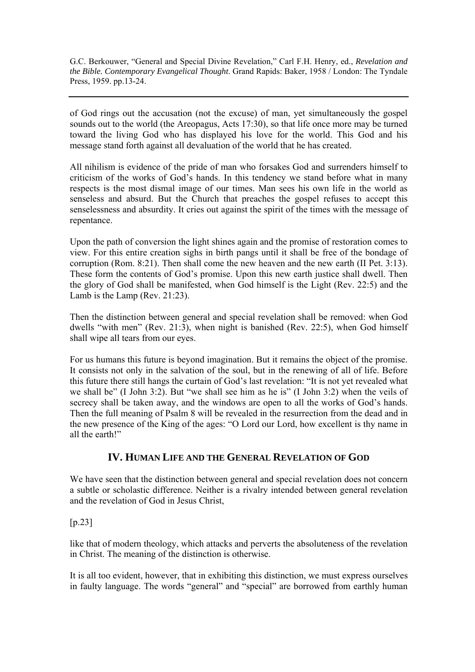of God rings out the accusation (not the excuse) of man, yet simultaneously the gospel sounds out to the world (the Areopagus, Acts 17:30), so that life once more may be turned toward the living God who has displayed his love for the world. This God and his message stand forth against all devaluation of the world that he has created.

All nihilism is evidence of the pride of man who forsakes God and surrenders himself to criticism of the works of God's hands. In this tendency we stand before what in many respects is the most dismal image of our times. Man sees his own life in the world as senseless and absurd. But the Church that preaches the gospel refuses to accept this senselessness and absurdity. It cries out against the spirit of the times with the message of repentance.

Upon the path of conversion the light shines again and the promise of restoration comes to view. For this entire creation sighs in birth pangs until it shall be free of the bondage of corruption (Rom. 8:21). Then shall come the new heaven and the new earth (II Pet. 3:13). These form the contents of God's promise. Upon this new earth justice shall dwell. Then the glory of God shall be manifested, when God himself is the Light (Rev. 22:5) and the Lamb is the Lamp (Rev. 21:23).

Then the distinction between general and special revelation shall be removed: when God dwells "with men" (Rev. 21:3), when night is banished (Rev. 22:5), when God himself shall wipe all tears from our eyes.

For us humans this future is beyond imagination. But it remains the object of the promise. It consists not only in the salvation of the soul, but in the renewing of all of life. Before this future there still hangs the curtain of God's last revelation: "It is not yet revealed what we shall be" (I John 3:2). But "we shall see him as he is" (I John 3:2) when the veils of secrecy shall be taken away, and the windows are open to all the works of God's hands. Then the full meaning of Psalm 8 will be revealed in the resurrection from the dead and in the new presence of the King of the ages: "O Lord our Lord, how excellent is thy name in all the earth!"

## **IV. HUMAN LIFE AND THE GENERAL REVELATION OF GOD**

We have seen that the distinction between general and special revelation does not concern a subtle or scholastic difference. Neither is a rivalry intended between general revelation and the revelation of God in Jesus Christ,

[p.23]

like that of modern theology, which attacks and perverts the absoluteness of the revelation in Christ. The meaning of the distinction is otherwise.

It is all too evident, however, that in exhibiting this distinction, we must express ourselves in faulty language. The words "general" and "special" are borrowed from earthly human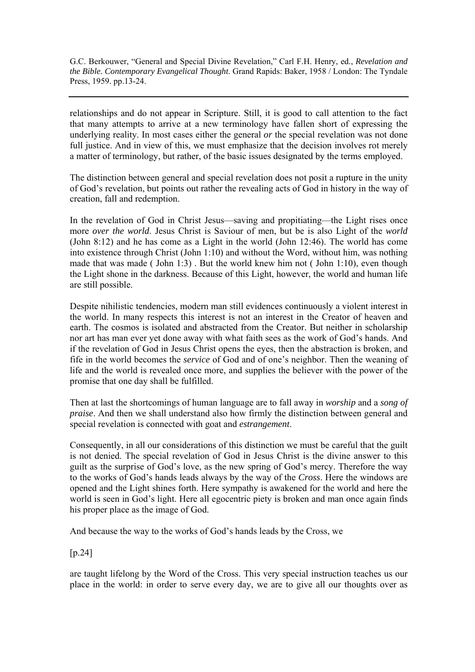relationships and do not appear in Scripture. Still, it is good to call attention to the fact that many attempts to arrive at a new terminology have fallen short of expressing the underlying reality. In most cases either the general *or* the special revelation was not done full justice. And in view of this, we must emphasize that the decision involves rot merely a matter of terminology, but rather, of the basic issues designated by the terms employed.

The distinction between general and special revelation does not posit a rupture in the unity of God's revelation, but points out rather the revealing acts of God in history in the way of creation, fall and redemption.

In the revelation of God in Christ Jesus—saving and propitiating—the Light rises once more *over the world*. Jesus Christ is Saviour of men, but be is also Light of the *world* (John 8:12) and he has come as a Light in the world (John 12:46). The world has come into existence through Christ (John 1:10) and without the Word, without him, was nothing made that was made ( John 1:3) . But the world knew him not ( John 1:10), even though the Light shone in the darkness. Because of this Light, however, the world and human life are still possible.

Despite nihilistic tendencies, modern man still evidences continuously a violent interest in the world. In many respects this interest is not an interest in the Creator of heaven and earth. The cosmos is isolated and abstracted from the Creator. But neither in scholarship nor art has man ever yet done away with what faith sees as the work of God's hands. And if the revelation of God in Jesus Christ opens the eyes, then the abstraction is broken, and fife in the world becomes the *service* of God and of one's neighbor. Then the weaning of life and the world is revealed once more, and supplies the believer with the power of the promise that one day shall be fulfilled.

Then at last the shortcomings of human language are to fall away in *worship* and a *song of praise*. And then we shall understand also how firmly the distinction between general and special revelation is connected with goat and *estrangement*.

Consequently, in all our considerations of this distinction we must be careful that the guilt is not denied. The special revelation of God in Jesus Christ is the divine answer to this guilt as the surprise of God's love, as the new spring of God's mercy. Therefore the way to the works of God's hands leads always by the way of the *Cross*. Here the windows are opened and the Light shines forth. Here sympathy is awakened for the world and here the world is seen in God's light. Here all egocentric piety is broken and man once again finds his proper place as the image of God.

And because the way to the works of God's hands leads by the Cross, we

[p.24]

are taught lifelong by the Word of the Cross. This very special instruction teaches us our place in the world: in order to serve every day, we are to give all our thoughts over as